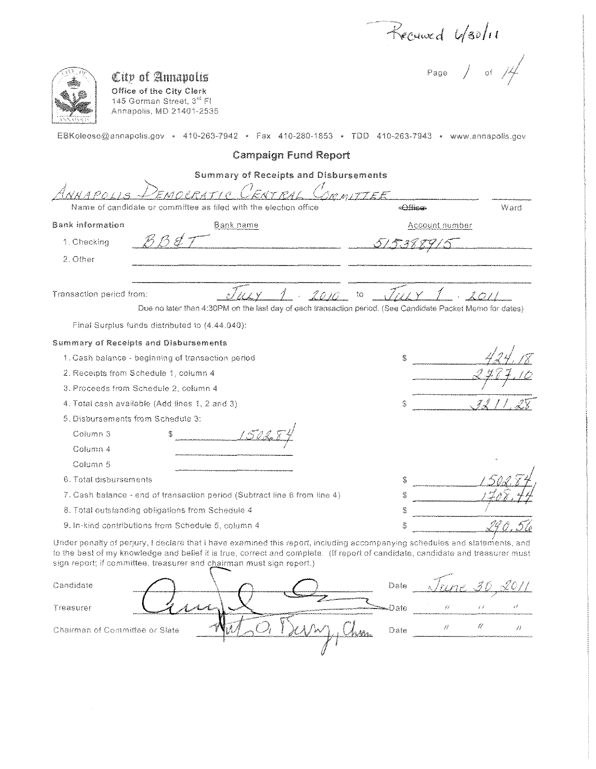Recourd U/30/11

| City of Annapolis<br>Office of the City Clerk<br>145 Gorman Street, 3 <sup>rd</sup> FI<br>Annapolis, MD 21401-2535<br>EBKoleoso@annapolis.gov « 410-263-7942 « Fax 410-280-1853 » TDD 410-263-7943 • www.annapolis.gov                                                                                                               | Page $\Big/$ of                                                                                                          |
|--------------------------------------------------------------------------------------------------------------------------------------------------------------------------------------------------------------------------------------------------------------------------------------------------------------------------------------|--------------------------------------------------------------------------------------------------------------------------|
| <b>Campaign Fund Report</b>                                                                                                                                                                                                                                                                                                          |                                                                                                                          |
| <b>Summary of Receipts and Disbursements</b>                                                                                                                                                                                                                                                                                         |                                                                                                                          |
| ENTRA<br>EMOLRATIC                                                                                                                                                                                                                                                                                                                   | <i>MMITTEE</i>                                                                                                           |
| Name of candidate or committee as filed with the election office                                                                                                                                                                                                                                                                     | < <del>Affic</del> an<br>Ward                                                                                            |
| <b>Bank information</b><br>Bank name                                                                                                                                                                                                                                                                                                 | Account number                                                                                                           |
| BB C :<br>1. Checking                                                                                                                                                                                                                                                                                                                |                                                                                                                          |
| 2. Other                                                                                                                                                                                                                                                                                                                             |                                                                                                                          |
|                                                                                                                                                                                                                                                                                                                                      |                                                                                                                          |
| Transaction period from:<br>Final Surplus funds distributed to (4.44.040):                                                                                                                                                                                                                                                           | 2011<br>to<br>Due no later than 4:30PM on the last day of each transaction period. (See Candidate Packet Memo for dates) |
| <b>Summary of Receipts and Disbursements</b>                                                                                                                                                                                                                                                                                         |                                                                                                                          |
| 1. Cash balance - beginning of transaction period                                                                                                                                                                                                                                                                                    | S                                                                                                                        |
| 2. Receipts from Schedule 1, column 4                                                                                                                                                                                                                                                                                                |                                                                                                                          |
| 3. Proceeds from Schedule 2, column 4                                                                                                                                                                                                                                                                                                |                                                                                                                          |
| 4. Total cash available (Add lines 1, 2 and 3)                                                                                                                                                                                                                                                                                       | S                                                                                                                        |
| 5. Disbursements from Schedule 3:                                                                                                                                                                                                                                                                                                    |                                                                                                                          |
| Column <sub>3</sub>                                                                                                                                                                                                                                                                                                                  |                                                                                                                          |
| Column 4                                                                                                                                                                                                                                                                                                                             |                                                                                                                          |
| Column 5                                                                                                                                                                                                                                                                                                                             |                                                                                                                          |
| 6. Total disbursements                                                                                                                                                                                                                                                                                                               | ' 50di<br>\$                                                                                                             |
| 7. Cash balance - end of transaction period (Subtract line 6 from line 4)                                                                                                                                                                                                                                                            | S                                                                                                                        |
| 8. Total outstanding obligations from Schedule 4                                                                                                                                                                                                                                                                                     | S                                                                                                                        |
| 9. In-kind contributions from Schedule 5, column 4                                                                                                                                                                                                                                                                                   | $\mathbb{C}^{3}$                                                                                                         |
| Under penalty of perjury, I declare that I have examined this report, including accompanying schedules and statements, and<br>to the best of my knowledge and belief it is true, correct and complete. (If report of candidate, candidate and treasurer must<br>sign report; if committee, treasurer and chairman must sign report.) |                                                                                                                          |
| Candidate                                                                                                                                                                                                                                                                                                                            | Date                                                                                                                     |
| Treasurer                                                                                                                                                                                                                                                                                                                            | $\bar{i}$ /<br>Date<br>$\rightarrow$ $\rightarrow$                                                                       |
| Chairman of Committee or Slate                                                                                                                                                                                                                                                                                                       | Ų<br>Ħ<br>Ĥ<br>Date                                                                                                      |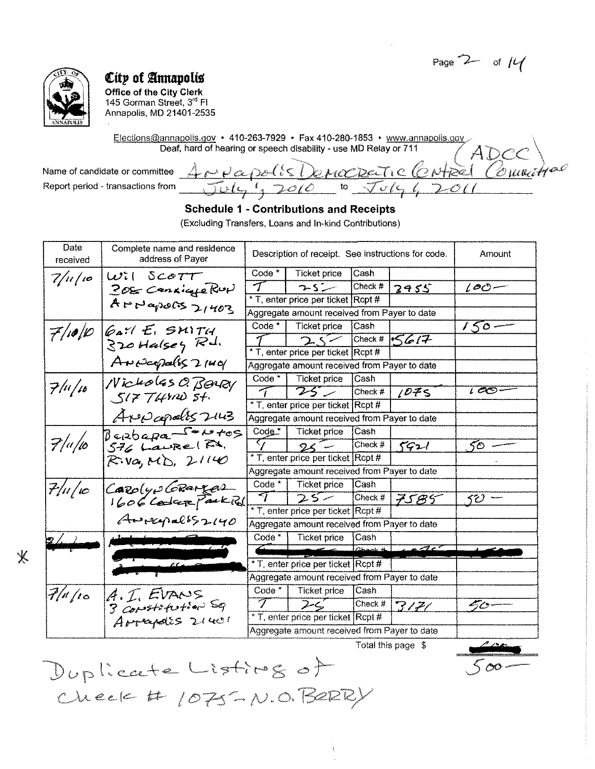Page  $2-$  of  $|4|$ 



 $\overline{\mathbb{X}}$ 

## City of Annapolis

office of the City Clerk 145 Gorman Street, 3<sup>rd</sup> Fl Annapolis, MD 21401-2535

Elections@annapolis.gov • 410-263-7929 • Fax 410-280-1853 • www.annapolis.gov ADC Deaf, hard of hearing or speech disability- use MD Relay or 711

Name of candidate or committee Report period - transactions from

<u>ANVapolis Democratic Centre (Comme</u>

### Schedule 1 - Contributions and Receipts

(Excluding Transfers, Loans and In-kind Contributions)

| Date<br>received | Complete name and residence<br>address of Payer             |                          |                                              | Description of receipt. See instructions for code. |                                 |                 |  |
|------------------|-------------------------------------------------------------|--------------------------|----------------------------------------------|----------------------------------------------------|---------------------------------|-----------------|--|
| $7/\mu/\varphi$  | $10$ il Sco $77$                                            | Code *                   | Ticket price                                 | Cash                                               |                                 |                 |  |
|                  | 208 Cenzicale Rup                                           | $\tau$                   | $7.5 -$                                      | Check #                                            | 2955                            | $\iota$ o $-$   |  |
|                  | $A \rightarrow P \rightarrow \infty$ of $S \rightarrow H02$ |                          | * T, enter price per ticket Rcpt #           |                                                    |                                 |                 |  |
|                  |                                                             |                          | Aggregate amount received from Payer to date |                                                    |                                 |                 |  |
| 7/10/10          | $647E$ , SMITH                                              | $Code*$                  | Ticket price                                 | Cash                                               |                                 | $150 -$         |  |
|                  | $320$ Halsey Rd.                                            |                          | $2\leq$                                      |                                                    | Check # $5617$                  |                 |  |
|                  |                                                             |                          | * T, enter price per ticket Rcpt #           |                                                    |                                 |                 |  |
|                  | Andepolis 21401                                             |                          | Aggregate amount received from Payer to date |                                                    |                                 |                 |  |
|                  | Nicholas O. BONRY                                           | $Code *  $               | <b>Ticket price</b>                          | <b>Cash</b>                                        |                                 |                 |  |
| 7/4/16           | S177492054                                                  | $\tau$                   | $75 -$                                       | $\mathsf{Check}~#$                                 | 1075                            | $1 \infty$ .    |  |
|                  |                                                             |                          | * T, enter price per ticket Rcpt #           |                                                    |                                 |                 |  |
|                  | Arepapalis 2143                                             |                          | Aggregate amount received from Payer to date |                                                    |                                 |                 |  |
|                  | Berbapa <sup>Contos</sup>                                   | $Code*$                  | Ticket price                                 | lCash                                              |                                 |                 |  |
| 7/4/10           |                                                             | $\overline{\mathcal{T}}$ | $25 -$                                       | Check #                                            | 5921                            | 50 <sub>o</sub> |  |
|                  | $R: Va, M$ , $21140$                                        |                          | * T, enter price per ticket Rcpt #           |                                                    |                                 |                 |  |
|                  |                                                             |                          | Aggregate amount received from Payer to date |                                                    |                                 |                 |  |
| $7/$ 11/10       | Carolyo GRAMEAL                                             | Code $*$                 | Ticket price                                 | Cash                                               |                                 |                 |  |
|                  | 1606 Coder Park Rd.                                         | ব                        | $25 -$                                       | $\mathsf{Check}\;\#$                               | 7585                            | SU.             |  |
|                  |                                                             |                          | * T, enter price per ticket Rcpt #           |                                                    |                                 |                 |  |
|                  | $A = 12920$                                                 |                          | Aggregate amount received from Payer to date |                                                    |                                 |                 |  |
| 2/1              |                                                             | $Code *  $               | <b>Ticket price</b>                          | Cash                                               |                                 |                 |  |
|                  |                                                             |                          |                                              | $C$ hook #                                         | $\sqrt{2c}$                     |                 |  |
|                  |                                                             |                          | * T, enter price per ticket Rcpt #           |                                                    |                                 |                 |  |
|                  |                                                             |                          | Aggregate amount received from Payer to date |                                                    |                                 |                 |  |
| 7/4/10           | A.E.EVANS                                                   | $Code*$                  | Ticket price                                 | Cash                                               |                                 |                 |  |
|                  | 3 Constatution Sq                                           | $\mathcal{T}$            | $2-c$                                        |                                                    | $\sqrt{\text{Check #}   3/7/2}$ | 40              |  |
|                  | Arrapais 21401                                              |                          | * T, enter price per ticket Rcpt #           |                                                    |                                 |                 |  |
|                  |                                                             |                          | Aggregate amount received from Payer to date |                                                    |                                 |                 |  |
|                  |                                                             |                          |                                              |                                                    | Total this nano R               | a mar           |  |

Duplicate Listing of Check #  $1075 - N.0. B2RPV$ 

*'c?P* **I**  *Sex>-*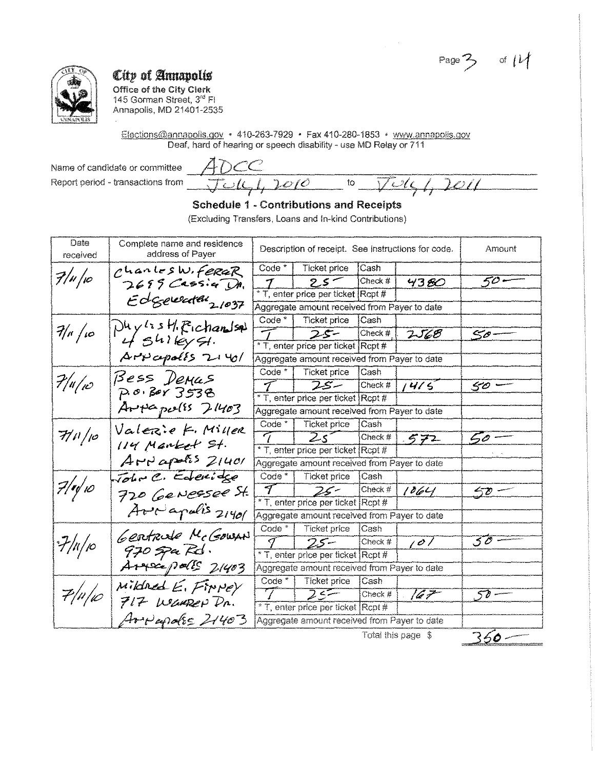$Page 3$ of  $|\mathcal{U}|$ 



Office of the City Clerk 145 Gorman Street, 3rd Fl Annapolis, MD 21401-2535

Elections@annapolis.gov · 410-263-7929 · Fax 410-280-1853 · www.annapolis.gov Deaf, hard of hearing or speech disability - use MD Relay or 711

Name of candidate or committee Report period - transactions from

ADCC  $Jul, 2010$  $\overline{\mathfrak{t}}$  $2011$  $\overline{V}$ Ul

#### **Schedule 1 - Contributions and Receipts** (Excluding Transfers, Loans and In-kind Contributions)

| Date<br>received     | Complete name and residence<br>address of Payer | Description of receipt. See instructions for code. | Amount                                       |             |                    |           |
|----------------------|-------------------------------------------------|----------------------------------------------------|----------------------------------------------|-------------|--------------------|-----------|
|                      | $C$ hanles W. FeraR                             | Code <sup>*</sup>                                  | <b>Ticket price</b>                          | Cash        |                    |           |
| $7/$ u $/$ v $\circ$ | $2699$ Cassig DA.                               | $\boldsymbol{\tau}$                                | $2.5 -$                                      | Check #     | 4380               | 50 -      |
|                      |                                                 |                                                    | * T, enter price per ticket Rcpt #           |             |                    |           |
|                      | Edgewater 21037                                 |                                                    | Aggregate amount received from Payer to date |             |                    |           |
|                      | $Dhy$ is $H$ . Eichandsal                       | $Code*$                                            | Ticket price                                 | 'ICash      |                    |           |
| 7/4/10               | $4541$ leyst.                                   |                                                    | $25 -$                                       | Check $#$   | <b>2568</b>        | 50-       |
|                      |                                                 |                                                    | * T, enter price per ticket Rcpt #           |             |                    |           |
|                      | $A P V \ncong \ncong A V \ncong \ncong A V$     |                                                    | Aggregate amount received from Payer to date |             |                    |           |
|                      | Bess Demus                                      | $Code*$                                            | Ticket price                                 | Cash        |                    |           |
| $7/$ u $/$ ı $\circ$ | P.0.8013538                                     | $\mathcal{T}$                                      | $75 -$                                       | Check #     | 1415               | 50'       |
|                      |                                                 |                                                    | * T, enter price per ticket Rcpt #           |             |                    |           |
|                      | $Arpepe(\epsilon)$ $7403$                       |                                                    | Aggregate amount received from Payer to date |             |                    |           |
|                      | Valezie K. Miller                               | $Code*$                                            | Ticket price                                 | <b>Cash</b> |                    |           |
| 7/10/10              | 114 Manket St.                                  | $\tau$                                             | $25^\circ$                                   | Check $#$   | 572                | 50        |
|                      |                                                 |                                                    | * T, enter price per ticket Rcpt #           |             |                    |           |
|                      | $A$ reapolis $2/40$                             |                                                    | Aggregate amount received from Payer to date |             |                    |           |
|                      | Tohn C. Ederidge                                | $Code *  $                                         | Ticket price                                 | Cash        |                    |           |
| $7/$ r $\sqrt{10}$   | 720 Genessee St.                                | $\overline{\mathcal{T}}$                           | $25 -$                                       | Check #     | 1064               | $50 -$    |
|                      |                                                 |                                                    | * T, enter price per ticket Rcpt #           |             |                    |           |
|                      | Aveapolis 21401                                 | Aggregate amount received from Payer to date       |                                              |             |                    |           |
|                      | Gentrule McGowan                                | Code <sup>*</sup>                                  | <b>Ticket price</b>                          | Cash        |                    |           |
| $\frac{7}{\mu}$      |                                                 | I.                                                 | $25 -$                                       | Check #     | 101                | $5\sigma$ |
|                      | $970$ spa Rd.                                   |                                                    | * T, enter price per ticket Rcpt #           |             |                    |           |
|                      | Arraipalls 21403                                |                                                    | Aggregate amount received from Payer to date |             |                    |           |
|                      | Mikined E. Finney                               | $Code *  $                                         | Ticket price                                 | Cash        |                    |           |
| 7/4/10               | 717 WEAREP DR.                                  | $\mathcal{T}$                                      | $25 -$                                       | Check #     | 167                | 50 -      |
|                      |                                                 |                                                    | * T, enter price per ticket Rcpt #           |             |                    |           |
|                      | Arrapolis 21403                                 |                                                    | Aggregate amount received from Payer to date |             |                    |           |
|                      |                                                 |                                                    |                                              |             | Total this page \$ | 360-      |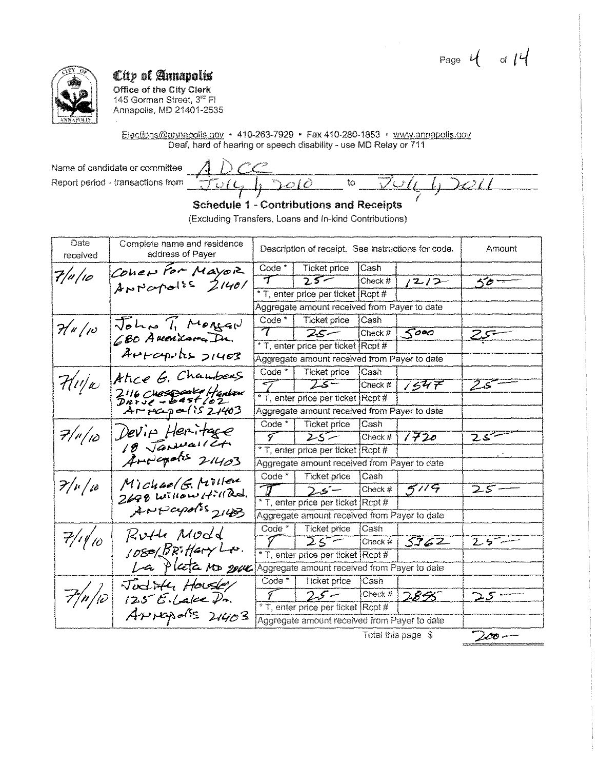Page  $4 \text{ of } 14$ 



Office of the City Clerk<br>145 Gorman Street,  $3^{\text{rd}}$  Fl Annapolis, MD 21401-2535

Elections@annapolis.gov + 410-263-7929 + Fax 410-280-1853 + www.annapolis.gov Deaf, hard of hearing or speech disability - use MD Relay or 711

Name of candidate or committee Report period - transactions from

| $\Lambda$ De<br>and the<br><b>COMMUNISM</b> |                          |                           |                          |                 | $-111$    |
|---------------------------------------------|--------------------------|---------------------------|--------------------------|-----------------|-----------|
| <b>Summer Property</b><br>------            | <b>Children</b>          | το<br><b>Address Made</b> | <b>Principal Control</b> | $\mathcal{L}$ . | $\sum$ // |
| $-$<br>. .                                  | <b>STARK STARKS</b><br>. |                           |                          |                 |           |

**Schedule 1 - Contributions and Receipts** 

(Excluding Transfers, Loans and In-kind Contributions)

| Date<br>received | Complete name and residence<br>address of Payer | Description of receipt. See instructions for code. |                                              |          |                    | Amount                     |
|------------------|-------------------------------------------------|----------------------------------------------------|----------------------------------------------|----------|--------------------|----------------------------|
|                  | Coher For Mayor                                 | Code <sup>*</sup>                                  | Ticket price                                 | Cash     |                    |                            |
| 7/v/10           | ANNapolis 21401                                 | $\tau$                                             | $25 -$                                       | Check #  | $1212-$            | $50 -$                     |
|                  |                                                 |                                                    | * T, enter price per ticket                  | [Rept #] |                    |                            |
|                  |                                                 |                                                    | Aggregate amount received from Payer to date |          |                    |                            |
|                  | John Ti Mongar                                  |                                                    | Code *   Ticket price                        | Cash     |                    |                            |
| $H$ u/10         | 680 Avenison Dr.                                | $\tau^-$                                           | $25 -$                                       | Check #  | 5000               | سيميرح                     |
|                  |                                                 |                                                    | * T, enter price per ticket Rcpt #           |          |                    |                            |
|                  | Arrapolis 21403                                 |                                                    | Aggregate amount received from Payer to date |          |                    |                            |
|                  | Atice G. Chambers                               | $Code *  $                                         | Ticket price                                 | Cash     |                    |                            |
| 7/1/10           |                                                 |                                                    | $25 -$                                       | Check #  | 7547               | $25^{--}$                  |
|                  | 2116 Chespare Harlow<br>Darve - Bast 102        |                                                    | * T, enter price per ticket Rcpt #           |          |                    |                            |
|                  | Arreapa(1521403)                                |                                                    | Aggregate amount received from Payer to date |          |                    |                            |
|                  | Devin Heritage                                  | $Code *  $                                         | <b>Ticket price</b>                          | Cash     |                    |                            |
| $7/$ r $/$ 10    | 18 Januariet.                                   | $\sqrt{ }$                                         | $\overline{25}$                              | Check #  | 1720               | $25 -$                     |
|                  |                                                 | * T, enter price per ticket Rcpt #                 |                                              |          |                    |                            |
|                  | Anderates 21403                                 |                                                    | Aggregate amount received from Payer to date |          |                    |                            |
|                  |                                                 |                                                    | Code *   Ticket price                        | Cash     |                    |                            |
| $7/\nu/\omega$   | Michael G. Miller<br>2698 Willow Hill Rd.       | $\mathcal{T}$                                      | $25 -$                                       | Check #  | 5119               | $25 =$                     |
|                  |                                                 |                                                    | * T, enter price per ticket Rcpt #           |          |                    |                            |
|                  | ANPapolis 2143                                  |                                                    | Aggregate amount received from Payer to date |          |                    |                            |
|                  | Ruth Modd                                       | Code $*$                                           | <b>Ticket price</b>                          | Cash     |                    |                            |
| 7/1/10           |                                                 | $\sqrt{ }$                                         | $25 -$                                       | Check #  | 5362               | $25 -$                     |
|                  | 1080/BRitaryLx.                                 |                                                    | * T, enter price per ticket Rcpt #           |          |                    |                            |
|                  | La Plata No 2004                                |                                                    | Aggregate amount received from Payer to date |          |                    |                            |
|                  | Judith Housey                                   | Code $*$                                           | Ticket price                                 | lCash    |                    |                            |
| 7/n/10           | $125E$ . Lake $\mathcal{P}$ n.                  | $\mathcal{T}$                                      | $25 -$                                       | Check #  | <u>2855 </u>       | $\mathcal{Z}\mathcal{S} =$ |
|                  |                                                 |                                                    | * T, enter price per ticket Rcpt #           |          |                    |                            |
|                  | ANIApolis 21403                                 |                                                    | Aggregate amount received from Payer to date |          |                    |                            |
|                  |                                                 |                                                    |                                              |          | Total this page \$ | $2\infty-$                 |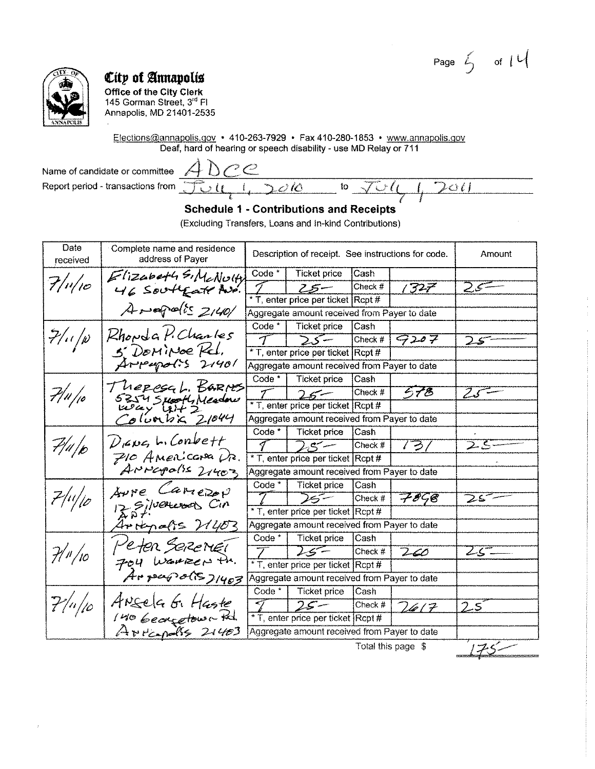Page  $\leq$  of  $|U|$ 

 $\cup$ il





# City of Annapolis

**Office of the City Clerk** 145 Gorman Street, 3<sup>rd</sup> Fl Annapolis, MD 21401-2535

Elections@annapolis.gov • 410-263-7929 • Fax 410-280-1853 • www.annapolis.gov Deaf, hard of hearing or speech disability - use MD Relay or 711

Name of candidate or committee Report period - transactions from

 $Dee$  $\lambda$ 

 $\mathbf{R}$ 

### **Schedule 1 - Contributions and Receipts**

 $\overline{\mathcal{O}}$  10

 ${\sf to}$ 

(Excluding Transfers, Loans and In-kind Contributions)

| Date<br>received    | Complete name and residence<br>address of Payer     |                   | Description of receipt. See instructions for code. |         |                   | Amount                    |
|---------------------|-----------------------------------------------------|-------------------|----------------------------------------------------|---------|-------------------|---------------------------|
|                     |                                                     | Code $*$          | <b>Ticket price</b>                                | Cash    |                   |                           |
| $7/$ 1 $/$ 10       | Elizabeth SIMLNUH                                   |                   | –بی2                                               | Check # | 1327              | -25                       |
|                     |                                                     |                   | * T, enter price per ticket Rcpt #                 |         |                   |                           |
|                     | Arapolis 2140/                                      |                   | Aggregate amount received from Payer to date       |         |                   |                           |
|                     |                                                     | $Code*$           | Ticket price                                       | Cash    |                   |                           |
| $7/(\sqrt{\rho})$   | Rhowda P. Charles                                   | $\mathcal{T}$     | $\sum$                                             | Check # | 9207              | 25-                       |
|                     | 5. DOMINOE Kel.                                     |                   | * T, enter price per ticket Rcpt#                  |         |                   |                           |
|                     | Arrapolis 21401                                     |                   | Aggregate amount received from Payer to date       |         |                   |                           |
|                     |                                                     | Code *            | Ticket price                                       | Cash    |                   |                           |
| 7/4/10              | Theresal. Barnes<br>5254510044 Meadow<br>12047 4172 |                   | $25 -$                                             | Check # | 578               |                           |
|                     |                                                     |                   | * T, enter price per ticket Rcpt #                 |         |                   |                           |
|                     | Columbia 21044                                      |                   | Aggregate amount received from Payer to date       |         |                   |                           |
|                     |                                                     | $Code^*$          | <b>Ticket price</b>                                | Cash    |                   |                           |
| $P\!/\!\!/$ p       | $D$ <sub>14</sub> $\nu$ q, L. Conbett               | 1                 | $25 -$                                             | Check # | 131               | $\overline{\mathsf{2S}}$  |
|                     | $P$ 10 Americana $\mathcal{P}$ .                    |                   | * T, enter price per ticket Rcpt #                 |         |                   |                           |
|                     | ANNUPOLIS 21403                                     |                   | Aggregate amount received from Payer to date       |         |                   |                           |
|                     | Aure Camerov                                        | Code *            | Ticket price                                       | Cash    |                   |                           |
| 7/4/10              | ERAY Silvercoon Cin                                 |                   | $25 -$                                             | Check # | 7858              | 25                        |
|                     |                                                     |                   | * T, enter price per ticket Rcpt #                 |         |                   |                           |
|                     | Intenalis 21403                                     |                   | Aggregate amount received from Payer to date       |         |                   |                           |
|                     |                                                     | Code <sup>*</sup> | <b>Ticket price</b>                                | Cash    |                   |                           |
| $\mathcal{H}''/$ 10 | Peter SereriEl                                      |                   | $25 -$                                             | Check # | 260               | 25-                       |
|                     |                                                     |                   | * T, enter price per ticket Rcpt #                 |         |                   |                           |
|                     | Fou Warrer Pr.<br>Arpapolis 71403                   |                   | Aggregate amount received from Payer to date       |         |                   |                           |
|                     |                                                     | $Code^*$          | Ticket price                                       | Cash    |                   |                           |
| $7/$ 11/10          | ANSela G. Haste                                     | -7                | $25 -$                                             | Check # | 2617              | $2.5^{\degree}$           |
|                     | 140 beargetown Rd                                   |                   | * T, enter price per ticket Rcpt #                 |         |                   |                           |
|                     | APPC-polls 21403                                    |                   | Aggregate amount received from Payer to date       |         |                   |                           |
|                     |                                                     |                   |                                                    |         | Tatal this nasa t | است المعموم الصيام والمنا |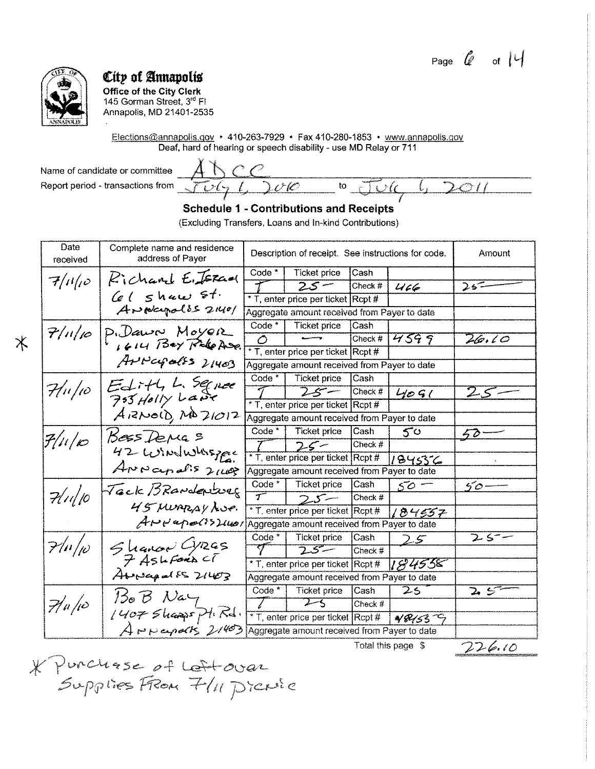Page  $\theta$  of  $\theta$ 

 $\mathcal{O}$  / /



Ж

## City of Annapolis

**Office of the City Clerk** 145 Gorman Street, 3rd FI Annapolis, MD 21401-2535

Elections@annapolis.gov • 410-263-7929 • Fax 410-280-1853 • www.annapolis.gov Deaf, hard of hearing or speech disability - use MD Relay or 711

Name of candidate or committee Report period - transactions from

 $\mathcal{C}$ Ţ  $\tilde{\mathcal{O}}(\mathsf{L})$  $\mathsf{to}$ 

### **Schedule 1 - Contributions and Receipts**

(Excluding Transfers, Loans and In-kind Contributions)

| Date<br>received                      | Complete name and residence<br>address of Payer                                                                    |                   | Description of receipt. See instructions for code. | Amount    |           |                  |
|---------------------------------------|--------------------------------------------------------------------------------------------------------------------|-------------------|----------------------------------------------------|-----------|-----------|------------------|
|                                       | Kichard E. JERGO                                                                                                   | $Code*$           | <b>Ticket price</b>                                | Cash      |           |                  |
| $7/11/\rho$                           |                                                                                                                    |                   | $25 -$                                             | Check #   | 466       | $25 -$           |
|                                       | $66$ shaw $51$ .                                                                                                   |                   | * T, enter price per ticket Rcpt #                 |           |           |                  |
|                                       | ANNegolis 21401                                                                                                    |                   | Aggregate amount received from Payer to date       |           |           |                  |
| 7/1/10                                | P. Dawn Moyer                                                                                                      | Code <sup>*</sup> | <b>Ticket price</b>                                | Cash      |           |                  |
|                                       | 1614 Bey Pole Ave.                                                                                                 | $\circ$           |                                                    | Check #   | 4599      | 26.10            |
|                                       |                                                                                                                    |                   | * T, enter price per ticket Rcpt #                 |           |           |                  |
|                                       | Arvapoles 21403                                                                                                    |                   | Aggregate amount received from Payer to date       |           |           |                  |
|                                       | Edith L. Squee                                                                                                     | Code $*$          | Ticket price                                       | Cash      |           |                  |
| $\mathcal{H}$ u/io                    | 755 Holly Lave                                                                                                     | 7                 | $25 -$                                             | Check #   | 4091      | 25               |
|                                       |                                                                                                                    |                   | * T, enter price per ticket Rcpt #                 |           |           |                  |
|                                       | $A$ $RNO$ $(D)$ $A$ $D1O12$                                                                                        |                   | Aggregate amount received from Payer to date       |           |           |                  |
|                                       | Bess Derras                                                                                                        | Code *            | Ticket price                                       | Cash      | $5^\circ$ | $50^{\circ}$     |
| $\mathcal{F}/\mu/\varphi$             |                                                                                                                    |                   | $25 -$                                             | Check $#$ |           |                  |
|                                       | 42 WINDWASTER                                                                                                      |                   | * T, enter price per ticket Rcpt #                 |           | 184556    |                  |
|                                       | ANNapalis 2149                                                                                                     |                   | Aggregate amount received from Payer to date       |           |           |                  |
|                                       | Tack BRANderburg                                                                                                   | Code $*$          | Ticket price                                       | Cash      | 50.       | $50 -$           |
| 7/1/10                                |                                                                                                                    | $\overline{\tau}$ | フェニー                                               | Check #   |           |                  |
|                                       | 45 MURRAY LUP.                                                                                                     |                   | * T, enter price per ticket Rcpt #                 |           | 184557    |                  |
|                                       | $A \mapsto P \leftrightarrow P \leftrightarrow P \leftrightarrow P$ / Aggregate amount received from Payer to date |                   |                                                    |           |           |                  |
| $7/ \mu _p$                           |                                                                                                                    | Code * I          | Ticket price                                       | Cash      | 2.5       | $2.5 -$          |
|                                       | Shancer Cyres<br>7 Ashfords CT                                                                                     |                   | $\overline{25}$                                    | Check #   |           |                  |
|                                       |                                                                                                                    |                   | * T, enter price per ticket Rcpt #                 |           | 1894558   |                  |
|                                       | Abordaged $5521603$                                                                                                |                   | Aggregate amount received from Payer to date       |           |           |                  |
|                                       | $130B$ Nay                                                                                                         | Code *            | Ticket price                                       | Cash      | 25        | こっこう こうしょう こうしょう |
| $\frac{1}{2}$ / <i>u</i> / <i>i</i> o |                                                                                                                    |                   | $2 - 5$                                            | Check #   |           |                  |
|                                       | 1407 Shappy Pt. Rd.                                                                                                |                   | * T, enter price per ticket Rcpt #                 |           | 481537    |                  |
|                                       | ANNepolks 21403                                                                                                    |                   | Aggregate amount received from Payer to date       |           |           |                  |

\* Punchase of Leftovar

 $226.10$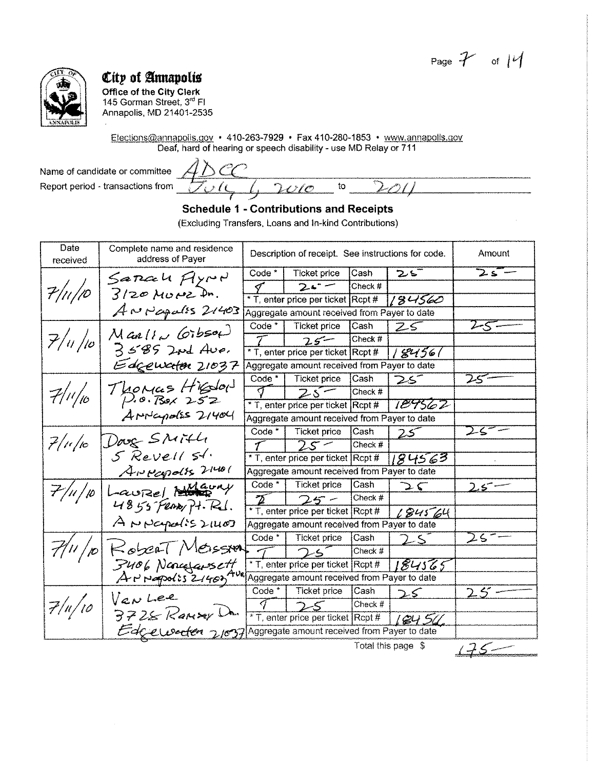Page  $\mathcal{F}$  of  $\mathcal{V}$ 



Office of the City Clerk 145 Gorman Street, 3rd Fl Annapolis, MD 21401-2535

Elections@annapolis.gov • 410-263-7929 • Fax 410-280-1853 • www.annapolis.gov Deaf, hard of hearing or speech disability- use MD Relay or 711

Name of candidate or committee Report period - transactions from

 $\setminus$  (  $\mathcal{C}$  $\mathop{\mathrm{to}}$  $\ell$ m

### **Schedule 1 - Contributions and Receipts**

(Excluding Transfers, Loans and In-kind Contributions)

| Date<br>received | Complete name and residence<br>address of Payer |                | Description of receipt. See instructions for code. | Amount      |              |        |
|------------------|-------------------------------------------------|----------------|----------------------------------------------------|-------------|--------------|--------|
|                  | Sarcah Ayron                                    | $Code*$        | <b>Ticket price</b>                                | Cash        | こご           | $25 -$ |
| $7/$ 11/10       |                                                 | 9              | $2 - -$                                            | Check #     |              |        |
|                  | $3/20$ MUMZ In.                                 |                | * T, enter price per ticket Rcpt #                 |             | 184560       |        |
|                  | $A$ N $P$ apalss $2/403$                        |                | Aggregate amount received from Payer to date       |             |              |        |
|                  |                                                 | $Code *  $     | Ticket price                                       | Cash        | Z S          | $2-5$  |
| 7/4/10           | $M$ an/ $1\omega$ (orbsof)                      | $\tau^-$       | $25 -$                                             | Check #     |              |        |
|                  | $3585$ and Ave.                                 |                | * T, enter price per ticket Rcpt #                 |             | 8456/        |        |
|                  | Edgewater 21037                                 |                | Aggregate amount received from Payer to date       |             |              |        |
|                  |                                                 | $Code *  $     | Ticket price                                       | Cash        | 25^          | 25-    |
| 7/1/10           | Thomas Higdon                                   | $\sigma^-$     | $25-$                                              | Check #     |              |        |
|                  |                                                 |                | * T, enter price per ticket Rcpt #                 |             | 189562       |        |
|                  | AMMapolss 21404                                 |                | Aggregate amount received from Payer to date       |             |              |        |
|                  |                                                 | $Code *  $     | Ticket price                                       | <b>Cash</b> | $25^{\circ}$ |        |
| $7/$ 10/10       | Doug SMITH                                      | $\mathcal{T}$  | $25 -$                                             | Check #     |              |        |
|                  | 5 Revell 51.                                    |                | * T, enter price per ticket Rcpt #                 |             | 184563       |        |
|                  | ANKapolis 21401                                 |                | Aggregate amount received from Payer to date       |             |              |        |
| 7/11/10          | Laurel Mauny                                    |                | Code $*$   Ticket price                            | Cash        | つぐ           | $25 -$ |
|                  | 4855 Ferry Pt. Rd.                              | $\mathbf{Z}^-$ | $25 -$                                             | Check #     |              |        |
|                  |                                                 |                | * T, enter price per ticket Rcpt #                 |             | L84564       |        |
|                  | ANNapolis 21407                                 |                | Aggregate amount received from Payer to date       |             |              |        |
|                  |                                                 | $Code *  $     | Ticket price                                       | Cash        | 2s           | $25 =$ |
|                  | Robert Messent                                  |                | 25                                                 | Check $#$   |              |        |
|                  |                                                 |                | * T, enter price per ticket Rcpt #                 |             | 184565       |        |
|                  | F406 Noncefarsettere                            |                | Aggregate amount received from Payer to date       |             |              |        |
|                  | Van Lee                                         | Code * 1       | Ticket price                                       | Cash        | 25           | 25     |
| $7/$ u $/$ 10    |                                                 | J              | 25                                                 | Check #     |              |        |
|                  | $3728$ Ransey Un.                               |                | * T, enter price per ticket Rcpt #                 |             | 9450         |        |
|                  | Edgewerten 21037                                |                | Aggregate amount received from Payer to date       |             |              |        |

 $175 -$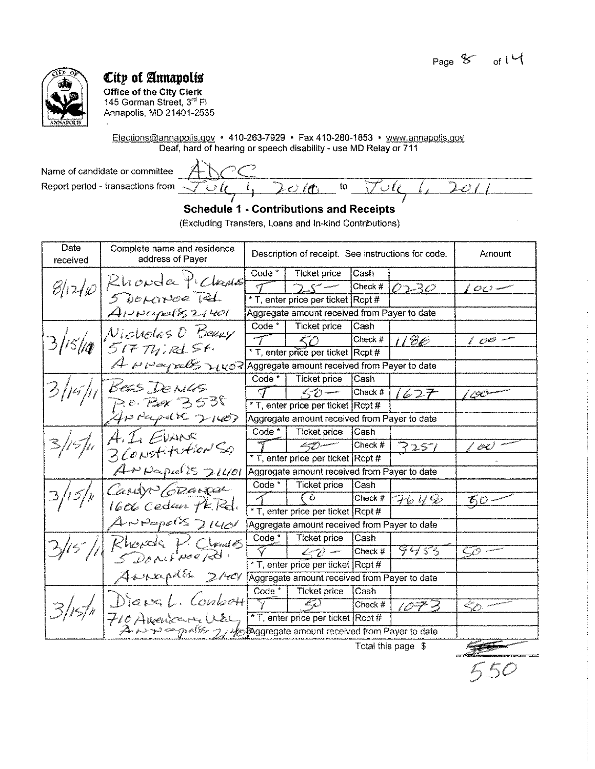

**Office of the City Clerk**  145 Gorman Street, 3rd Fl Annapolis, MD 21401-2535

Elections@annaoolis.gov • 410-263-7929 • Fax 410-280-1853 • www.annapolis.gov Deaf, hard of hearing or speech disability- use MD Relay or 711

Name of candidate or committee  $\overbrace{+ \}\overbrace{+ \}\overbrace{+ \}\overbrace{+ \}\overbrace{+ \}\overbrace{+ \}\overbrace{+ \}\overbrace{+ \}\overbrace{+ \}\overbrace{+ \}\overbrace{+ \}\overbrace{+ \}\overbrace{+ \}\overbrace{+ \}\overbrace{+ \}\overbrace{+ \}\overbrace{+ \}\overbrace{+ \}\overbrace{+ \}\overbrace{+ \}\overbrace{+ \}\overbrace{+ \}\overbrace{+ \}\overbrace{+ \}\overbrace{+ \}\overbrace{+ \}\overbrace{+ \}\overbrace{+ \}\overbrace{+ \}\overbrace{+ \}\overbrace{+ \}\overbrace$ Report period - transactions from  $\overline{\sqrt{u}}$  is  $\overline{u}$  if to  $\overline{\sqrt{u}}$  is  $\overline{u}$  if  $\overline{u}$   $\overline{u}$ 

### **Schedule 1 - Contributions and Receipts**

(Excluding Transfers, Loans and In-kind Contributions)

| Complete name and residence<br>address of Payer |                                                                                                                                                                                                                                                                                                              | Description of receipt. See instructions for code.     | Amount  |                                                                                                                                                                                                                                                                       |                                                                                                                                                                                                                                                                                                                                                                                                                                      |
|-------------------------------------------------|--------------------------------------------------------------------------------------------------------------------------------------------------------------------------------------------------------------------------------------------------------------------------------------------------------------|--------------------------------------------------------|---------|-----------------------------------------------------------------------------------------------------------------------------------------------------------------------------------------------------------------------------------------------------------------------|--------------------------------------------------------------------------------------------------------------------------------------------------------------------------------------------------------------------------------------------------------------------------------------------------------------------------------------------------------------------------------------------------------------------------------------|
|                                                 | Code *                                                                                                                                                                                                                                                                                                       | <b>Ticket price</b>                                    | Cash    |                                                                                                                                                                                                                                                                       |                                                                                                                                                                                                                                                                                                                                                                                                                                      |
|                                                 |                                                                                                                                                                                                                                                                                                              |                                                        | Check # | 0230                                                                                                                                                                                                                                                                  | $\mathcal{O} \mathcal{O}$ -                                                                                                                                                                                                                                                                                                                                                                                                          |
|                                                 |                                                                                                                                                                                                                                                                                                              |                                                        |         |                                                                                                                                                                                                                                                                       |                                                                                                                                                                                                                                                                                                                                                                                                                                      |
| $A$ NWarpalis $21401$                           |                                                                                                                                                                                                                                                                                                              |                                                        |         |                                                                                                                                                                                                                                                                       |                                                                                                                                                                                                                                                                                                                                                                                                                                      |
|                                                 | $Code*$                                                                                                                                                                                                                                                                                                      | Ticket price                                           | Cash    |                                                                                                                                                                                                                                                                       |                                                                                                                                                                                                                                                                                                                                                                                                                                      |
|                                                 |                                                                                                                                                                                                                                                                                                              | $\langle \gamma \rangle$                               | Check # | 1186                                                                                                                                                                                                                                                                  | $100 -$                                                                                                                                                                                                                                                                                                                                                                                                                              |
|                                                 |                                                                                                                                                                                                                                                                                                              |                                                        |         |                                                                                                                                                                                                                                                                       |                                                                                                                                                                                                                                                                                                                                                                                                                                      |
|                                                 |                                                                                                                                                                                                                                                                                                              |                                                        |         |                                                                                                                                                                                                                                                                       |                                                                                                                                                                                                                                                                                                                                                                                                                                      |
|                                                 | $Code*$                                                                                                                                                                                                                                                                                                      | Ticket price                                           | Cash    |                                                                                                                                                                                                                                                                       |                                                                                                                                                                                                                                                                                                                                                                                                                                      |
|                                                 | $\triangleleft$                                                                                                                                                                                                                                                                                              | $<$ 0 $-$                                              | Check # | 1627                                                                                                                                                                                                                                                                  | ' 190                                                                                                                                                                                                                                                                                                                                                                                                                                |
|                                                 |                                                                                                                                                                                                                                                                                                              |                                                        |         |                                                                                                                                                                                                                                                                       |                                                                                                                                                                                                                                                                                                                                                                                                                                      |
|                                                 |                                                                                                                                                                                                                                                                                                              |                                                        |         |                                                                                                                                                                                                                                                                       |                                                                                                                                                                                                                                                                                                                                                                                                                                      |
|                                                 | $Code*$                                                                                                                                                                                                                                                                                                      | <b>Ticket price</b>                                    | Cash    |                                                                                                                                                                                                                                                                       |                                                                                                                                                                                                                                                                                                                                                                                                                                      |
|                                                 |                                                                                                                                                                                                                                                                                                              | k=7)                                                   | Check # | 3251                                                                                                                                                                                                                                                                  | 00                                                                                                                                                                                                                                                                                                                                                                                                                                   |
|                                                 |                                                                                                                                                                                                                                                                                                              |                                                        |         |                                                                                                                                                                                                                                                                       |                                                                                                                                                                                                                                                                                                                                                                                                                                      |
|                                                 |                                                                                                                                                                                                                                                                                                              |                                                        |         |                                                                                                                                                                                                                                                                       |                                                                                                                                                                                                                                                                                                                                                                                                                                      |
|                                                 | Code <sup>*</sup>                                                                                                                                                                                                                                                                                            | <b>Ticket price</b>                                    | Cash    |                                                                                                                                                                                                                                                                       |                                                                                                                                                                                                                                                                                                                                                                                                                                      |
|                                                 |                                                                                                                                                                                                                                                                                                              | ೯೬                                                     | Check # | 764%                                                                                                                                                                                                                                                                  | $\mathcal{L}_1^c \mathcal{O}$                                                                                                                                                                                                                                                                                                                                                                                                        |
|                                                 |                                                                                                                                                                                                                                                                                                              |                                                        |         |                                                                                                                                                                                                                                                                       |                                                                                                                                                                                                                                                                                                                                                                                                                                      |
|                                                 |                                                                                                                                                                                                                                                                                                              |                                                        |         |                                                                                                                                                                                                                                                                       |                                                                                                                                                                                                                                                                                                                                                                                                                                      |
|                                                 |                                                                                                                                                                                                                                                                                                              | Ticket price                                           | Cash    |                                                                                                                                                                                                                                                                       |                                                                                                                                                                                                                                                                                                                                                                                                                                      |
|                                                 |                                                                                                                                                                                                                                                                                                              | $\langle \mathcal{L} \rangle$                          | Check # |                                                                                                                                                                                                                                                                       |                                                                                                                                                                                                                                                                                                                                                                                                                                      |
|                                                 |                                                                                                                                                                                                                                                                                                              |                                                        |         |                                                                                                                                                                                                                                                                       |                                                                                                                                                                                                                                                                                                                                                                                                                                      |
|                                                 |                                                                                                                                                                                                                                                                                                              |                                                        |         |                                                                                                                                                                                                                                                                       |                                                                                                                                                                                                                                                                                                                                                                                                                                      |
|                                                 | Code $*$                                                                                                                                                                                                                                                                                                     | <b>Ticket price</b>                                    | lCash   |                                                                                                                                                                                                                                                                       |                                                                                                                                                                                                                                                                                                                                                                                                                                      |
|                                                 |                                                                                                                                                                                                                                                                                                              | ZS                                                     | Check # | $10 - 3$                                                                                                                                                                                                                                                              | $\ll$                                                                                                                                                                                                                                                                                                                                                                                                                                |
| 710 American Use,                               |                                                                                                                                                                                                                                                                                                              |                                                        |         |                                                                                                                                                                                                                                                                       |                                                                                                                                                                                                                                                                                                                                                                                                                                      |
|                                                 |                                                                                                                                                                                                                                                                                                              |                                                        |         |                                                                                                                                                                                                                                                                       |                                                                                                                                                                                                                                                                                                                                                                                                                                      |
|                                                 | 5 DOMINOR Rd.<br>Nicholas D. Beaux<br>51774.18154.<br>BES DENUS<br>P.O. POR 3538<br>$4P$ deeps $857100$<br>A. LI EVANS<br>3 Constitution Sq<br>$A P \rho_{\alpha} \rho_{\alpha} \rho' \rho'$ 21401<br>Candro Creased<br>1606 Cedan PK.Rd.<br>$A$ NPapels $\nu\omega$<br>Rhords P. Chames<br>Anneapolle 21401 | 8/12/10 Rhonda Pichaus<br>Code $*$<br>Diana L. Conbatt |         | * T, enter price per ticket Rcpt #<br>* T, enter price per ticket Rcpt #<br>* T, enter price per ticket Rcpt #<br>* T, enter price per ticket Rcpt #<br>* T, enter price per ticket Rcpt #<br>* T, enter price per ticket Rcpt #<br>* T, enter price per ticket Rcpt# | Aggregate amount received from Payer to date<br>$A \sim \sim \sim$ red $>$ $\sim$ $\mu$ $\sigma$ $\approx$ Aggregate amount received from Payer to date<br>Aggregate amount received from Payer to date<br>Aggregate amount received from Payer to date<br>Aggregate amount received from Payer to date<br>9955<br>Aggregate amount received from Payer to date<br>A in a policy of the pagregate amount received from Payer to date |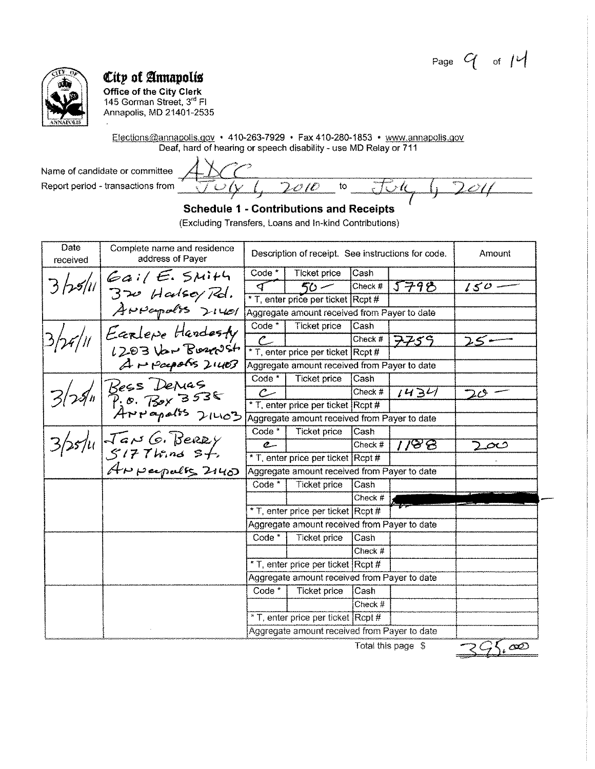Page  $G$  of  $M$ 



Office of the City Clerk 145 Gorman Street, 3rd FI Annapolis, MD 21401-2535

Elections@annapolis.gov • 410-263-7929 • Fax 410-280-1853 • www.annapolis.gov Deaf, hard of hearing or speech disability - use MD Relay or 711

Name of candidate or committee Report period - transactions from

 $\overline{2}$ Ú  $\mathsf{to}$ r ti <u>011 </u>

### **Schedule 1 - Contributions and Receipts**

(Excluding Transfers, Loans and In-kind Contributions)

| Date<br>received | Complete name and residence<br>address of Payer                                    |                                    | Description of receipt. See instructions for code. |           |       | Amount       |
|------------------|------------------------------------------------------------------------------------|------------------------------------|----------------------------------------------------|-----------|-------|--------------|
|                  |                                                                                    | Code <sup>*</sup>                  | <b>Ticket price</b>                                | Cash      |       |              |
|                  | $3$ /25/11 Gail E. SMITH                                                           | ব                                  | 50 -                                               | Check #   | 5798  | $150 -$      |
|                  |                                                                                    |                                    | * T, enter price per ticket Rcpt #                 |           |       |              |
|                  | ANNepolis 21401                                                                    |                                    | Aggregate amount received from Payer to date       |           |       |              |
|                  |                                                                                    | Code $*$                           | <b>Ticket price</b>                                | Cash      |       |              |
|                  | Earlepe Hardesty                                                                   |                                    |                                                    | Check #   | 7759  | 25           |
|                  |                                                                                    |                                    | * T, enter price per ticket Rcpt #                 |           |       |              |
|                  | Arpeopolis 21403                                                                   |                                    | Aggregate amount received from Payer to date       |           |       |              |
|                  |                                                                                    | Code *                             | Ticket price                                       | Cash      |       |              |
|                  |                                                                                    | سے                                 |                                                    | Check #   | 1434  | $20^{\circ}$ |
|                  |                                                                                    |                                    | * T, enter price per ticket Rcpt #                 |           |       |              |
|                  |                                                                                    |                                    | Aggregate amount received from Payer to date       |           |       |              |
|                  |                                                                                    | $Code*$                            | Ticket price                                       | Cash      |       |              |
|                  | $3/25/4$ Bess Denus<br>3/25/4 Tex 3538<br>3/25/4 Jans G. Berry<br>4 Perpendes 2140 | $\mathfrak{C}$                     |                                                    | Check #   | 118 B | دىم          |
|                  |                                                                                    |                                    | * T, enter price per ticket Rcpt #                 |           |       |              |
|                  |                                                                                    |                                    | Aggregate amount received from Payer to date       |           |       |              |
|                  |                                                                                    | Code $*$                           | <b>Ticket price</b>                                | Cash      |       |              |
|                  |                                                                                    |                                    |                                                    | Check $#$ |       |              |
|                  |                                                                                    |                                    | * T, enter price per ticket Rcpt #                 |           |       |              |
|                  |                                                                                    |                                    | Aggregate amount received from Payer to date       |           |       |              |
|                  |                                                                                    | Code <sup>*</sup>                  | <b>Ticket price</b>                                | Cash      |       |              |
|                  |                                                                                    |                                    |                                                    | Check $#$ |       |              |
|                  |                                                                                    | * T, enter price per ticket Rcpt # |                                                    |           |       |              |
|                  |                                                                                    |                                    | Aggregate amount received from Payer to date       |           |       |              |
|                  |                                                                                    | Code <sup>*</sup>                  | <b>Ticket price</b>                                | Cash      |       |              |
|                  |                                                                                    |                                    |                                                    | Check #   |       |              |
|                  |                                                                                    |                                    | * T, enter price per ticket Rcpt #                 |           |       |              |
|                  |                                                                                    |                                    | Aggregate amount received from Payer to date       |           |       |              |

 $25.00$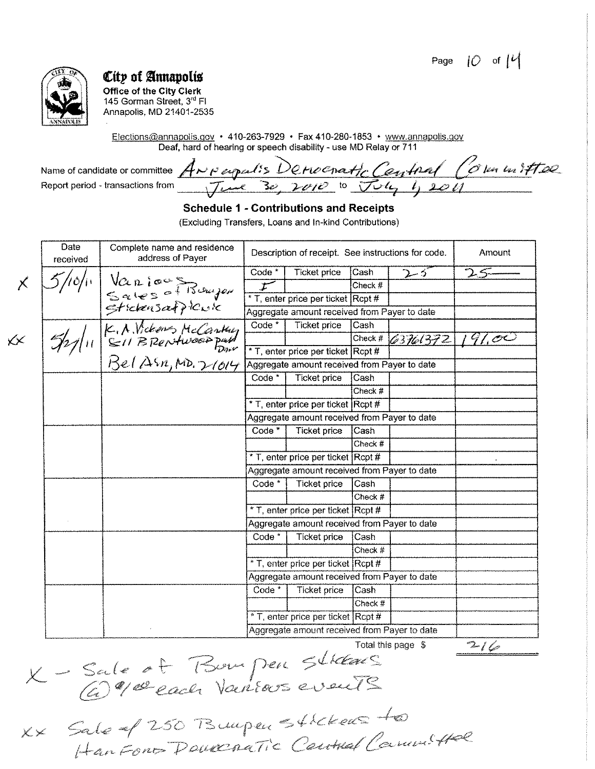Page  $10$  of  $14$ 



**Office of the City Clerk** 145 Gorman Street, 3rd Fl Annapolis, MD 21401-2535

Elections@annapolis.gov • 410-263-7929 • Fax 410-280-1853 • www.annapolis.gov Deaf, hard of hearing or speech disability - use MD Relay or 711

Name of candidate or committee ANN expertis Derivematic Central (6 km in 17500

### **Schedule 1 - Contributions and Receipts**

(Excluding Transfers, Loans and In-kind Contributions)

|                    | <b>Date</b><br>received | Complete name and residence<br>address of Payer                 |                                    | Description of receipt. See instructions for code. |           |          | Amount        |
|--------------------|-------------------------|-----------------------------------------------------------------|------------------------------------|----------------------------------------------------|-----------|----------|---------------|
|                    |                         |                                                                 | Code <sup>*</sup>                  | Ticket price                                       | Cash      | ひっか      | $\mathcal{L}$ |
|                    |                         | Vanious Rumper<br>Sales of Bumper<br>Stickensafflowk            | Ť                                  |                                                    | Check #   |          |               |
|                    |                         |                                                                 |                                    | * T, enter price per ticket Rcpt #                 |           |          |               |
|                    |                         |                                                                 |                                    | Aggregate amount received from Payer to date       |           |          |               |
|                    |                         | $\frac{1}{\frac{S+relensear+}{S}}$<br>$\frac{1}{\frac{S+1}{S}}$ | Code *                             | <b>Ticket price</b>                                | Cash      |          |               |
| $\cancel{\ltimes}$ |                         |                                                                 |                                    |                                                    | Check #   | 63761372 | 41,00         |
|                    |                         |                                                                 |                                    | * T, enter price per ticket Rcpt #                 |           |          |               |
|                    |                         |                                                                 |                                    | Aggregate amount received from Payer to date       |           |          |               |
|                    |                         |                                                                 | Code *                             | <b>Ticket price</b>                                | Cash      |          |               |
|                    |                         |                                                                 |                                    |                                                    | Check #   |          |               |
|                    |                         |                                                                 | * T, enter price per ticket Rcpt # |                                                    |           |          |               |
|                    |                         |                                                                 |                                    | Aggregate amount received from Payer to date       |           |          |               |
|                    |                         | Code <sup>*</sup>                                               | <b>Ticket price</b>                | Cash                                               |           |          |               |
|                    |                         |                                                                 |                                    |                                                    | Check #   |          |               |
|                    |                         |                                                                 |                                    | * T, enter price per ticket Rcpt #                 |           |          |               |
|                    |                         |                                                                 |                                    | Aggregate amount received from Payer to date       |           |          |               |
|                    |                         |                                                                 | Code <sup>*</sup>                  | Ticket price                                       | Cash      |          |               |
|                    |                         |                                                                 |                                    |                                                    | Check $#$ |          |               |
|                    |                         |                                                                 |                                    | * T, enter price per ticket Rcpt #                 |           |          |               |
|                    |                         |                                                                 |                                    | Aggregate amount received from Payer to date       |           |          |               |
|                    |                         |                                                                 | Code <sup>*</sup>                  | Ticket price                                       | Cash      |          |               |
|                    |                         |                                                                 |                                    |                                                    | Check #   |          |               |
|                    |                         |                                                                 |                                    | * T, enter price per ticket Rcpt #                 |           |          |               |
|                    |                         |                                                                 |                                    | Aggregate amount received from Payer to date       |           |          |               |
|                    |                         | Code <sup>*</sup>                                               | Ticket price                       | Cash                                               |           |          |               |
|                    |                         |                                                                 |                                    |                                                    | Check #   |          |               |
|                    |                         |                                                                 |                                    | * T, enter price per ticket Rcpt #                 |           |          |               |
|                    |                         |                                                                 |                                    | Aggregate amount received from Payer to date       |           |          |               |

Total this page \$

 $216$ 

X - Sale of Bon peu Streams

XX Sale af 250 Bunpen Stickens to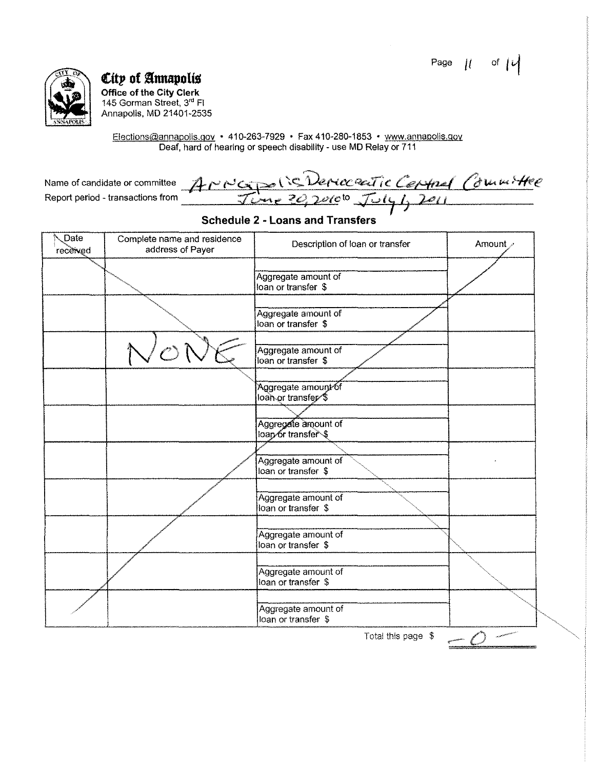Page  $|l|$ of  $\mu$ 



City of Annapolis Office of the City Clerk<br>145 Gorman Street, 3<sup>rd</sup> Fl<br>Annapolis, MD 21401-2535

Elections@annapolis.gov • 410-263-7929 • Fax 410-280-1853 • www.annapolis.gov<br>Deaf, hard of hearing or speech disability - use MD Relay or 711

|                                   | Name of candidate or committee ANOCIDE (CONCORCITIC CEPSPAL COUNTINE |  |
|-----------------------------------|----------------------------------------------------------------------|--|
| Report period - transactions from | $Time 20,2010^{10}$ $Tuly1,2011$                                     |  |
|                                   |                                                                      |  |

#### **Schedule 2 - Loans and Transfers**

| Date<br>received | Complete name and residence<br>address of Payer | Description of loan or transfer            | Amount > |
|------------------|-------------------------------------------------|--------------------------------------------|----------|
|                  |                                                 | Aggregate amount of<br>loan or transfer \$ |          |
|                  |                                                 | Aggregate amount of<br>loan or transfer \$ |          |
|                  |                                                 | Aggregate amount of<br>loan or transfer \$ |          |
|                  |                                                 | Aggregate amount of<br>loan or transfer \$ |          |
|                  |                                                 | Aggregate amount of<br>loap or transfer \$ |          |
|                  |                                                 | Aggregate amount of<br>loan or transfer \$ |          |
|                  |                                                 | Aggregate amount of<br>loan or transfer \$ |          |
|                  |                                                 | Aggregate amount of<br>loan or transfer \$ |          |
|                  |                                                 | Aggregate amount of<br>loan or transfer \$ |          |
|                  |                                                 | Aggregate amount of<br>loan or transfer \$ |          |
|                  |                                                 | Total this page \$                         |          |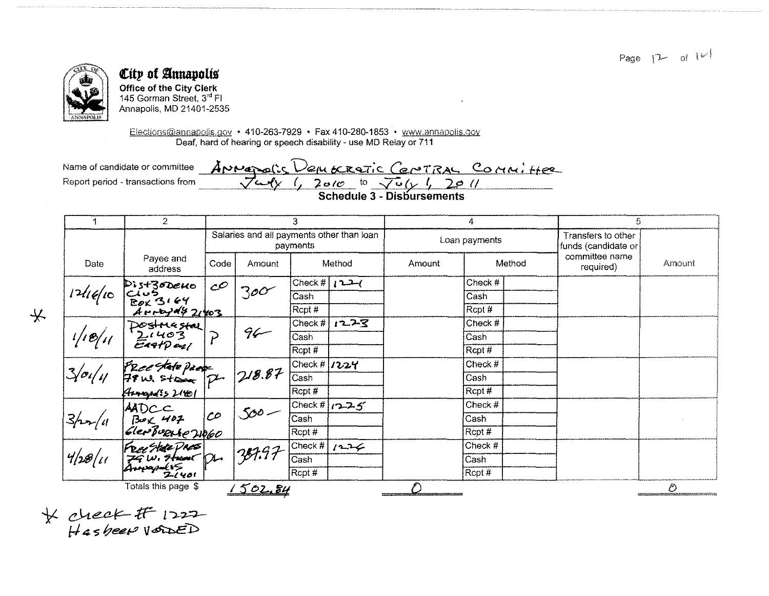

 $\frac{1}{2}$ 

## City of Annapolis

Office of the City Clerk 145 Gorman Street, 3rd FI Annapolis, MD 21401-2535

Elections@annapolis.gov • 410-263-7929 • Fax 410-280-1853 • www.annapolis.gov Deaf, hard of hearing or speech disability - use MD Relay or 711

ANNapolis Democratic Central Committee Name of candidate or committee Report period - transactions from

|                         | $\overline{2}$                                       | 3                                                                                                  |         |                                                   | 4             |        | 5                                         |  |                             |        |
|-------------------------|------------------------------------------------------|----------------------------------------------------------------------------------------------------|---------|---------------------------------------------------|---------------|--------|-------------------------------------------|--|-----------------------------|--------|
|                         |                                                      | Salaries and all payments other than loan<br>payments                                              |         |                                                   | Loan payments |        | Transfers to other<br>funds (candidate or |  |                             |        |
| Date                    | Payee and<br>address                                 | Code                                                                                               | Amount  |                                                   | Method        | Amount | Method                                    |  | committee name<br>required) | Amount |
|                         | Dist30Deno CO<br>Club<br>Box 3164<br>Arraydy 21403   | $c^{\mathcal{O}}$                                                                                  | 300     | Check # $\mid$ $\mid$ $\sim$ $\sim$ $\sim$ $\sim$ |               |        | Check #                                   |  |                             |        |
| 124e                    |                                                      |                                                                                                    |         | Cash                                              |               |        | Cash                                      |  |                             |        |
|                         |                                                      |                                                                                                    |         | Rcpt#                                             |               |        | Rcpt #                                    |  |                             |        |
|                         |                                                      |                                                                                                    | $96 -$  | Check #                                           | 1223          |        | Check #                                   |  |                             |        |
| 1/18/11                 | Postmestal<br>21403<br>Eartpar                       | $\overline{P}$                                                                                     |         | Cash                                              |               |        | Cash                                      |  |                             |        |
|                         |                                                      |                                                                                                    |         | Rcpt#                                             |               |        | Rcpt #                                    |  |                             |        |
| 3/0/1/                  | FRee state page<br>79 w. strong Pt<br>Hoogedis 21601 |                                                                                                    | 218.87  | Check # $1224$                                    |               |        | Check #                                   |  |                             |        |
|                         |                                                      |                                                                                                    |         | Cash                                              |               |        | Cash                                      |  |                             |        |
|                         |                                                      |                                                                                                    |         | Rcpt#                                             |               |        | Rcpt#                                     |  |                             |        |
| $\frac{3}{\sqrt{28/u}}$ |                                                      | $\frac{\text{AMOC}}{\text{Bock 407}}$ CO<br>GlenBuene 21060<br>Feat state Press<br>Faw, France Dr. | $500 -$ |                                                   | Check # 1225  |        | Check #                                   |  |                             |        |
|                         |                                                      |                                                                                                    |         | Cash                                              |               |        | Cash                                      |  |                             |        |
|                         |                                                      |                                                                                                    |         | $R$ cpt #                                         |               |        | Rcpt #                                    |  |                             |        |
|                         |                                                      |                                                                                                    | 387.97. | Check $#$                                         | 1226          |        | Check #                                   |  |                             |        |
|                         |                                                      |                                                                                                    |         | Cash                                              |               |        | Casn                                      |  |                             |        |
|                         | Annapoles<br>$2 - 1401$                              |                                                                                                    |         | Rcpt#                                             |               |        | $R$ cpt#                                  |  |                             |        |
|                         | Totals this page \$                                  |                                                                                                    | 1502.84 |                                                   |               |        |                                           |  |                             | Ō      |

 $*$  check It  $1222$ <br>Hasbeen vaned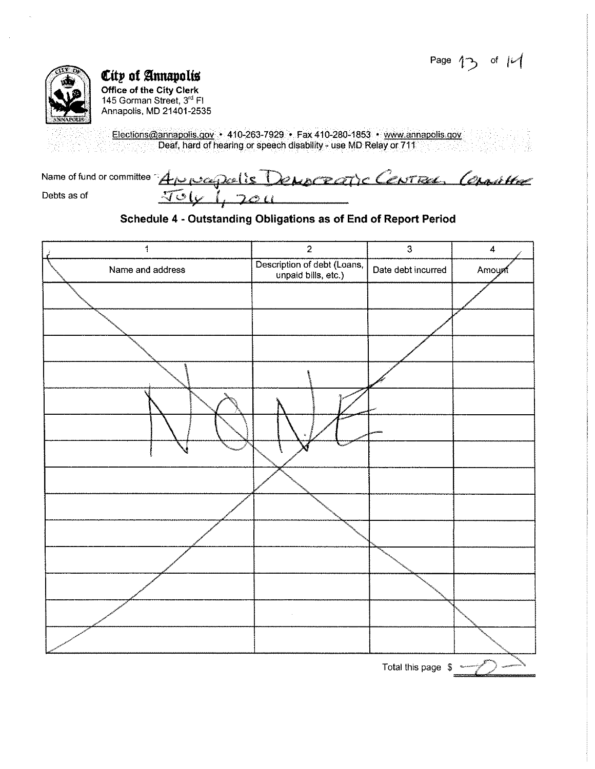Page  $13$  of  $14$ 



Office of the City Clerk<br>145 Gorman Street, 3<sup>rd</sup> Fl<br>Annapolis, MD 21401-2535

Elections@annapolis.gov + 410-263-7929 + Fax 410-280-1853 + www.annapolis.gov Deaf, hard of hearing or speech disability - use MD Relay or 711

| Name of fund or committee Approachis Democratic Centres, Constitute |          |  |  |
|---------------------------------------------------------------------|----------|--|--|
| Debts as of                                                         | 5001.201 |  |  |

#### Schedule 4 - Outstanding Obligations as of End of Report Period

| 1                | $\overline{2}$                                     | $\overline{\mathbf{3}}$ | $\overline{\mathbf{4}}$ |
|------------------|----------------------------------------------------|-------------------------|-------------------------|
| Name and address | Description of debt (Loans,<br>unpaid bills, etc.) | Date debt incurred      | Amount                  |
|                  |                                                    |                         |                         |
|                  |                                                    |                         |                         |
|                  |                                                    |                         |                         |
|                  |                                                    |                         |                         |
|                  |                                                    |                         |                         |
|                  |                                                    |                         |                         |
|                  |                                                    |                         |                         |
|                  |                                                    |                         |                         |
|                  |                                                    |                         |                         |
|                  |                                                    |                         |                         |
|                  |                                                    |                         |                         |
|                  |                                                    |                         |                         |
|                  |                                                    |                         |                         |
|                  |                                                    |                         |                         |
|                  |                                                    | Total this page \$      |                         |